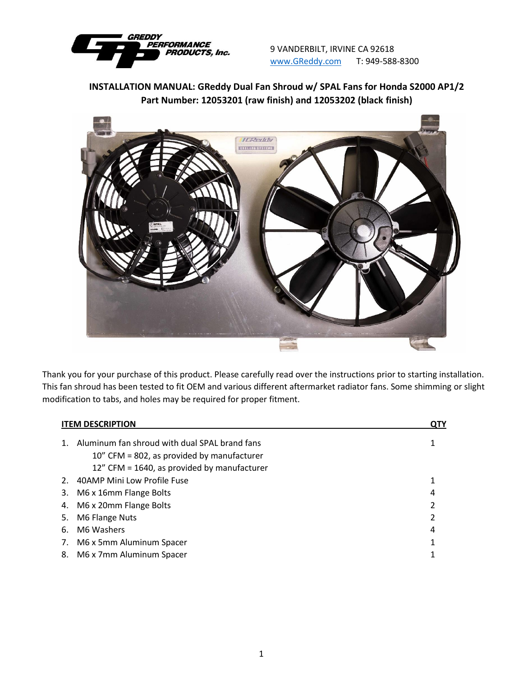

9 VANDERBILT, IRVINE CA 92618 [www.GReddy.com](http://www.greddy.com/) T: 949-588-8300

**INSTALLATION MANUAL: GReddy Dual Fan Shroud w/ SPAL Fans for Honda S2000 AP1/2 Part Number: 12053201 (raw finish) and 12053202 (black finish)**



Thank you for your purchase of this product. Please carefully read over the instructions prior to starting installation. This fan shroud has been tested to fit OEM and various different aftermarket radiator fans. Some shimming or slight modification to tabs, and holes may be required for proper fitment.

| <b>ITEM DESCRIPTION</b>                                                                           |                                             |   |
|---------------------------------------------------------------------------------------------------|---------------------------------------------|---|
| Aluminum fan shroud with dual SPAL brand fans<br>1.<br>10" CFM = 802, as provided by manufacturer | 12" CFM = 1640, as provided by manufacturer |   |
| 40AMP Mini Low Profile Fuse<br>2.                                                                 |                                             |   |
| M6 x 16mm Flange Bolts<br>3.                                                                      |                                             | 4 |
| M6 x 20mm Flange Bolts<br>4.                                                                      |                                             | 2 |
| M6 Flange Nuts<br>5.                                                                              |                                             | 2 |
| M6 Washers<br>6.                                                                                  |                                             | 4 |
| M6 x 5mm Aluminum Spacer<br>7.                                                                    |                                             |   |
| M6 x 7mm Aluminum Spacer<br>8.                                                                    |                                             |   |
|                                                                                                   |                                             |   |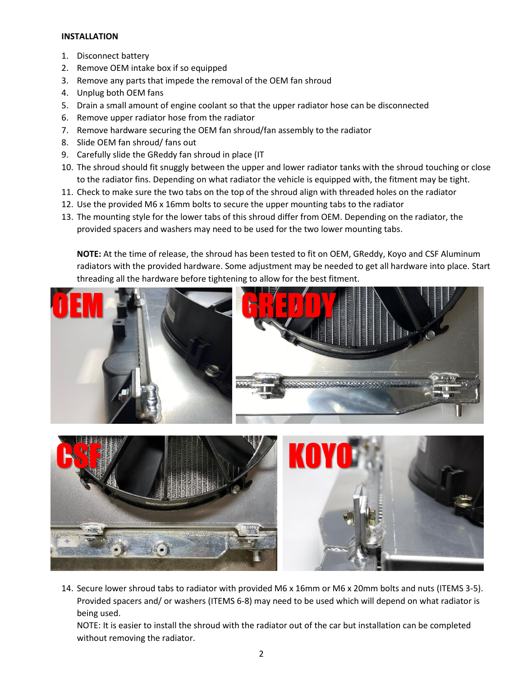## **INSTALLATION**

- 1. Disconnect battery
- 2. Remove OEM intake box if so equipped
- 3. Remove any parts that impede the removal of the OEM fan shroud
- 4. Unplug both OEM fans
- 5. Drain a small amount of engine coolant so that the upper radiator hose can be disconnected
- 6. Remove upper radiator hose from the radiator
- 7. Remove hardware securing the OEM fan shroud/fan assembly to the radiator
- 8. Slide OEM fan shroud/ fans out
- 9. Carefully slide the GReddy fan shroud in place (IT
- 10. The shroud should fit snuggly between the upper and lower radiator tanks with the shroud touching or close to the radiator fins. Depending on what radiator the vehicle is equipped with, the fitment may be tight.
- 11. Check to make sure the two tabs on the top of the shroud align with threaded holes on the radiator
- 12. Use the provided M6 x 16mm bolts to secure the upper mounting tabs to the radiator
- 13. The mounting style for the lower tabs of this shroud differ from OEM. Depending on the radiator, the provided spacers and washers may need to be used for the two lower mounting tabs.

**NOTE:** At the time of release, the shroud has been tested to fit on OEM, GReddy, Koyo and CSF Aluminum radiators with the provided hardware. Some adjustment may be needed to get all hardware into place. Start threading all the hardware before tightening to allow for the best fitment.





14. Secure lower shroud tabs to radiator with provided M6 x 16mm or M6 x 20mm bolts and nuts (ITEMS 3-5). Provided spacers and/ or washers (ITEMS 6-8) may need to be used which will depend on what radiator is being used.

NOTE: It is easier to install the shroud with the radiator out of the car but installation can be completed without removing the radiator.